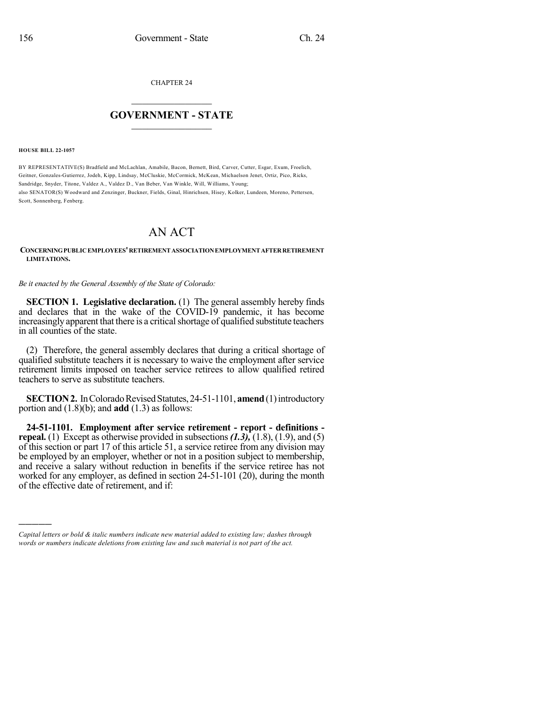CHAPTER 24

## $\overline{\phantom{a}}$  . The set of the set of the set of the set of the set of the set of the set of the set of the set of the set of the set of the set of the set of the set of the set of the set of the set of the set of the set o **GOVERNMENT - STATE**  $\_$

**HOUSE BILL 22-1057**

)))))

BY REPRESENTATIVE(S) Bradfield and McLachlan, Amabile, Bacon, Bernett, Bird, Carver, Cutter, Esgar, Exum, Froelich, Geitner, Gonzales-Gutierrez, Jodeh, Kipp, Lindsay, McCluskie, McCormick, McKean, Michaelson Jenet, Ortiz, Pico, Ricks, Sandridge, Snyder, Titone, Valdez A., Valdez D., Van Beber, Van Winkle, Will, Williams, Young; also SENATOR(S) Woodward and Zenzinger, Buckner, Fields, Ginal, Hinrichsen, Hisey, Kolker, Lundeen, Moreno, Pettersen, Scott, Sonnenberg, Fenberg.

## AN ACT

**CONCERNINGPUBLICEMPLOYEES'RETIREMENTASSOCIATIONEMPLOYMENTAFTERRETIREMENT LIMITATIONS.**

*Be it enacted by the General Assembly of the State of Colorado:*

**SECTION 1. Legislative declaration.** (1) The general assembly hereby finds and declares that in the wake of the COVID-19 pandemic, it has become increasingly apparent that there is a critical shortage of qualified substitute teachers in all counties of the state.

(2) Therefore, the general assembly declares that during a critical shortage of qualified substitute teachers it is necessary to waive the employment after service retirement limits imposed on teacher service retirees to allow qualified retired teachers to serve as substitute teachers.

**SECTION 2.** In Colorado Revised Statutes, 24-51-1101, **amend** (1) introductory portion and (1.8)(b); and **add** (1.3) as follows:

**24-51-1101. Employment after service retirement - report - definitions repeal.** (1) Except as otherwise provided in subsections *(1.3),* (1.8), (1.9), and (5) of this section or part 17 of this article 51, a service retiree from any division may be employed by an employer, whether or not in a position subject to membership, and receive a salary without reduction in benefits if the service retiree has not worked for any employer, as defined in section 24-51-101 (20), during the month of the effective date of retirement, and if:

*Capital letters or bold & italic numbers indicate new material added to existing law; dashes through words or numbers indicate deletions from existing law and such material is not part of the act.*